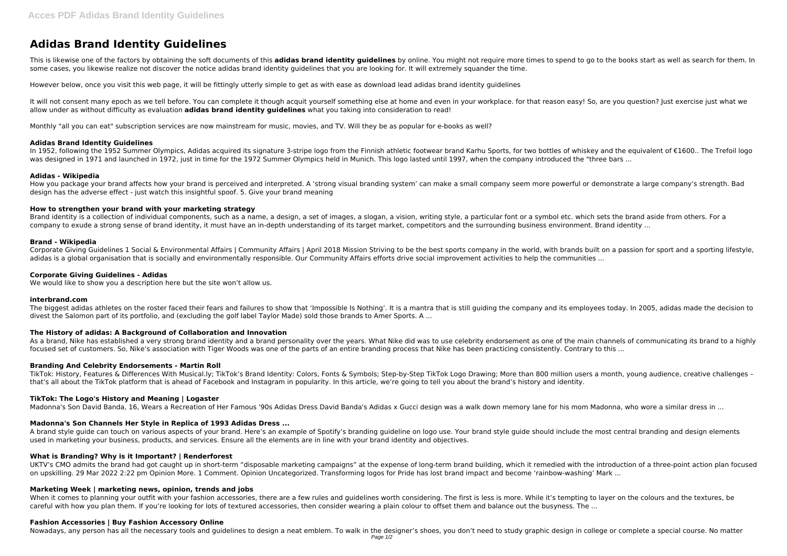# **Adidas Brand Identity Guidelines**

This is likewise one of the factors by obtaining the soft documents of this adidas brand identity guidelines by online. You might not require more times to spend to go to the books start as well as search for them. In some cases, you likewise realize not discover the notice adidas brand identity guidelines that you are looking for. It will extremely squander the time.

It will not consent many epoch as we tell before. You can complete it though acquit yourself something else at home and even in your workplace. for that reason easy! So, are you question? Just exercise just what we allow under as without difficulty as evaluation **adidas brand identity guidelines** what you taking into consideration to read!

However below, once you visit this web page, it will be fittingly utterly simple to get as with ease as download lead adidas brand identity guidelines

Monthly "all you can eat" subscription services are now mainstream for music, movies, and TV. Will they be as popular for e-books as well?

# **Adidas Brand Identity Guidelines**

In 1952, following the 1952 Summer Olympics, Adidas acquired its signature 3-stripe logo from the Finnish athletic footwear brand Karhu Sports, for two bottles of whiskey and the equivalent of €1600.. The Trefoil logo was designed in 1971 and launched in 1972, just in time for the 1972 Summer Olympics held in Munich. This logo lasted until 1997, when the company introduced the "three bars ...

Brand identity is a collection of individual components, such as a name, a design, a set of images, a slogan, a vision, writing style, a particular font or a symbol etc. which sets the brand aside from others. For a company to exude a strong sense of brand identity, it must have an in-depth understanding of its target market, competitors and the surrounding business environment. Brand identity ...

#### **Adidas - Wikipedia**

How you package your brand affects how your brand is perceived and interpreted. A 'strong visual branding system' can make a small company seem more powerful or demonstrate a large company's strength. Bad design has the adverse effect - just watch this insightful spoof. 5. Give your brand meaning

#### **How to strengthen your brand with your marketing strategy**

#### **Brand - Wikipedia**

Corporate Giving Guidelines 1 Social & Environmental Affairs | Community Affairs | April 2018 Mission Striving to be the best sports company in the world, with brands built on a passion for sport and a sporting lifestyle, adidas is a global organisation that is socially and environmentally responsible. Our Community Affairs efforts drive social improvement activities to help the communities ...

UKTV's CMO admits the brand had got caught up in short-term "disposable marketing campaigns" at the expense of long-term brand building, which it remedied with the introduction of a three-point action plan focused on upskilling. 29 Mar 2022 2:22 pm Opinion More. 1 Comment. Opinion Uncategorized. Transforming logos for Pride has lost brand impact and become 'rainbow-washing' Mark ...

#### **Corporate Giving Guidelines - Adidas**

We would like to show you a description here but the site won't allow us.

When it comes to planning your outfit with your fashion accessories, there are a few rules and guidelines worth considering. The first is less is more. While it's tempting to layer on the colours and the textures, be careful with how you plan them. If you're looking for lots of textured accessories, then consider wearing a plain colour to offset them and balance out the busyness. The ...

#### **interbrand.com**

The biggest adidas athletes on the roster faced their fears and failures to show that 'Impossible Is Nothing'. It is a mantra that is still guiding the company and its employees today. In 2005, adidas made the decision to divest the Salomon part of its portfolio, and (excluding the golf label Taylor Made) sold those brands to Amer Sports. A ...

# **The History of adidas: A Background of Collaboration and Innovation**

As a brand, Nike has established a very strong brand identity and a brand personality over the years. What Nike did was to use celebrity endorsement as one of the main channels of communicating its brand to a highly focused set of customers. So, Nike's association with Tiger Woods was one of the parts of an entire branding process that Nike has been practicing consistently. Contrary to this ...

# **Branding And Celebrity Endorsements - Martin Roll**

TikTok: History, Features & Differences With Musical.ly; TikTok's Brand Identity: Colors, Fonts & Symbols; Step-by-Step TikTok Logo Drawing; More than 800 million users a month, young audience, creative challenges – that's all about the TikTok platform that is ahead of Facebook and Instagram in popularity. In this article, we're going to tell you about the brand's history and identity.

# **TikTok: The Logo's History and Meaning | Logaster**

Madonna's Son David Banda, 16, Wears a Recreation of Her Famous '90s Adidas Dress David Banda's Adidas x Gucci design was a walk down memory lane for his mom Madonna, who wore a similar dress in ...

# **Madonna's Son Channels Her Style in Replica of 1993 Adidas Dress ...**

A brand style guide can touch on various aspects of your brand. Here's an example of Spotify's branding guideline on logo use. Your brand style guide should include the most central branding and design elements used in marketing your business, products, and services. Ensure all the elements are in line with your brand identity and objectives.

# **What is Branding? Why is it Important? | Renderforest**

# **Marketing Week | marketing news, opinion, trends and jobs**

#### **Fashion Accessories | Buy Fashion Accessory Online**

Nowadays, any person has all the necessary tools and guidelines to design a neat emblem. To walk in the designer's shoes, you don't need to study graphic design in college or complete a special course. No matter